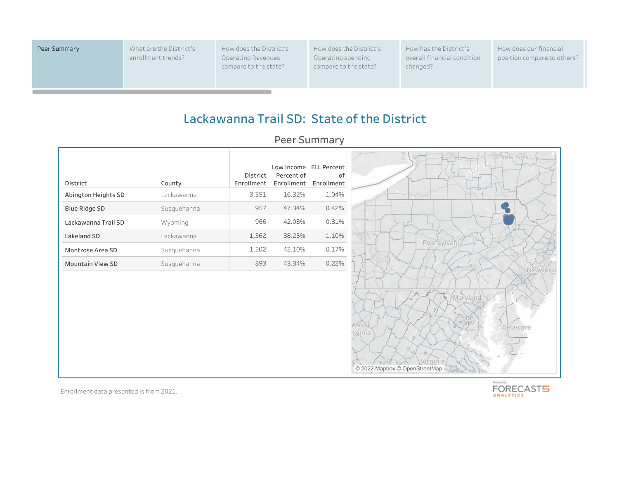Peer Summary What are the District's enrollment trends?

How does the District's Operating Revenues compare to the state?

How does the District's Operating spending compare to the state?

How has the District's overall financial condition changed?

How does our financial position compare to others?

## **Lackawanna Trail SD: State of the District**

**Peer Summary**

| District                | County      | District<br>Enrollment | Percent of<br>Enrollment | Low Income ELL Percent<br>οf<br>Enrollment |
|-------------------------|-------------|------------------------|--------------------------|--------------------------------------------|
| Abington Heights SD     | Lackawanna  | 3,351                  | 16.32%                   | 1.04%                                      |
| <b>Blue Ridge SD</b>    | Susquehanna | 957                    | 47.34%                   | 0.42%                                      |
| Lackawanna Trail SD     | Wyoming     | 966                    | 42.03%                   | 0.31%                                      |
| Lakeland SD             | Lackawanna  | 1,362                  | 38.25%                   | 1.10%                                      |
| Montrose Area SD        | Susquehanna | 1,202                  | 42.10%                   | 0.17%                                      |
| <b>Mountain View SD</b> | Susquehanna | 893                    | 43.34%                   | 0.22%                                      |



Enrollment data presented is from 2021.

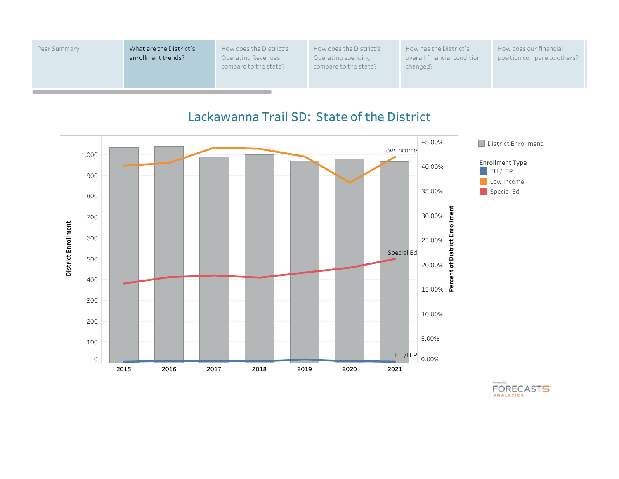| Peer Summary | What are the District's<br>enrollment trends? | How does the District's<br>Operating Revenues<br>compare to the state? | How does the District's<br>Operating spending<br>compare to the state? | How has the District's<br>overall financial condition<br>changed? | How does our financial<br>position compare to others? |
|--------------|-----------------------------------------------|------------------------------------------------------------------------|------------------------------------------------------------------------|-------------------------------------------------------------------|-------------------------------------------------------|
|              |                                               |                                                                        |                                                                        |                                                                   |                                                       |



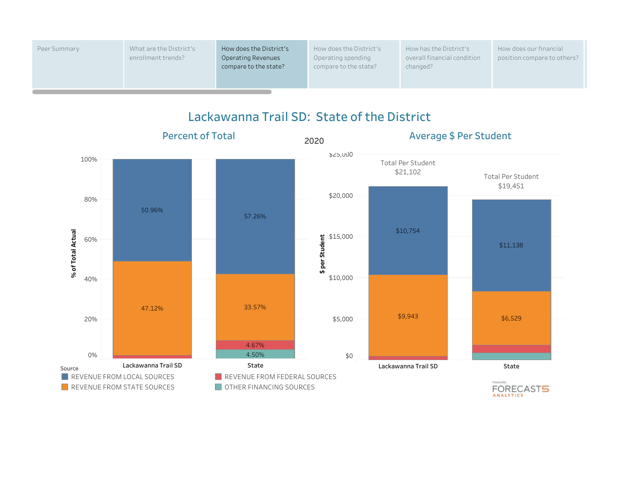| Peer Summary | What are the District's<br>enrollment trends? | How does the District's<br><b>Operating Revenues</b><br>compare to the state? | How does the District's<br>Operating spending<br>compare to the state? | How has the District's<br>overall financial condition<br>changed? | How does our financial<br>position compare to others? |
|--------------|-----------------------------------------------|-------------------------------------------------------------------------------|------------------------------------------------------------------------|-------------------------------------------------------------------|-------------------------------------------------------|
|              |                                               |                                                                               |                                                                        |                                                                   |                                                       |

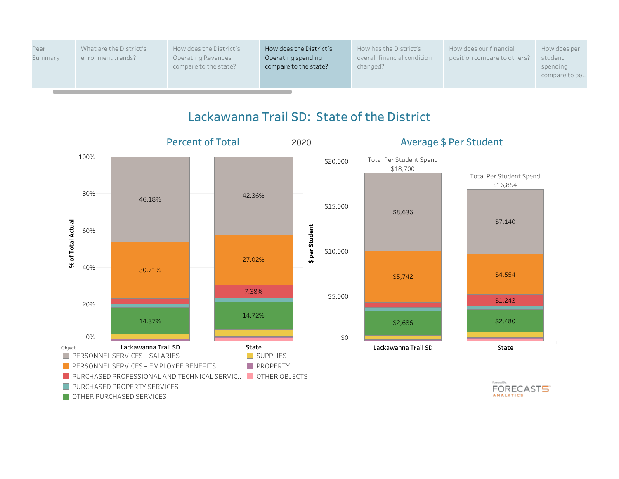

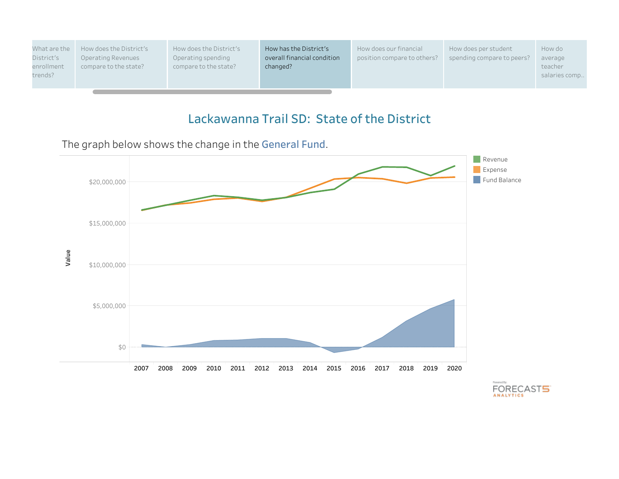

The graph below shows the change in the **General Fund**.



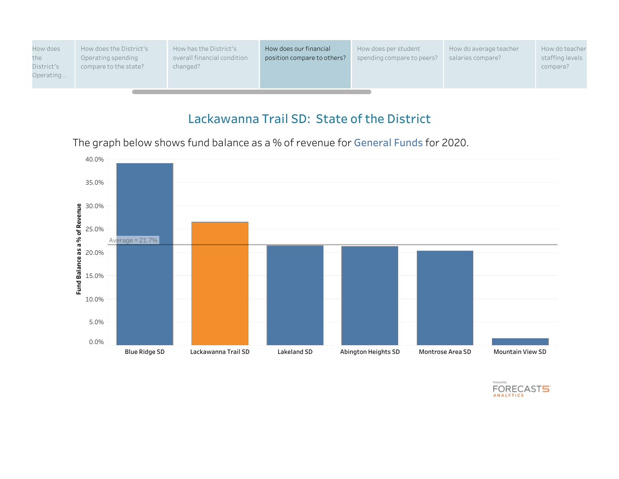

The graph below shows fund balance as a % of revenue for **General Funds** for 2020.



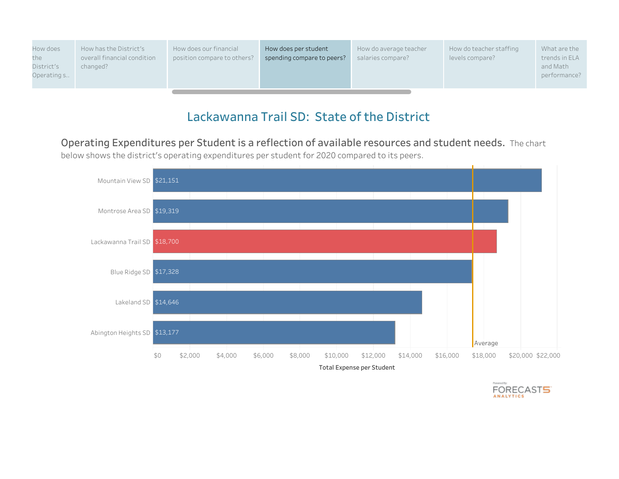| How does<br>How has the District's<br>overall financial condition<br>the<br>District's<br>changed?<br>Operating s | How does our financial<br>How does per student<br>position compare to others?<br>spending compare to peers? | How do average teacher<br>salaries compare? | How do teacher staffing<br>levels compare? | What are the<br>trends in ELA<br>and Math<br>performance? |
|-------------------------------------------------------------------------------------------------------------------|-------------------------------------------------------------------------------------------------------------|---------------------------------------------|--------------------------------------------|-----------------------------------------------------------|
|-------------------------------------------------------------------------------------------------------------------|-------------------------------------------------------------------------------------------------------------|---------------------------------------------|--------------------------------------------|-----------------------------------------------------------|

**Operating Expenditures per Student is a reflection of available resources and student needs.** The chart below shows the district's operating expenditures per student for 2020 compared to its peers.



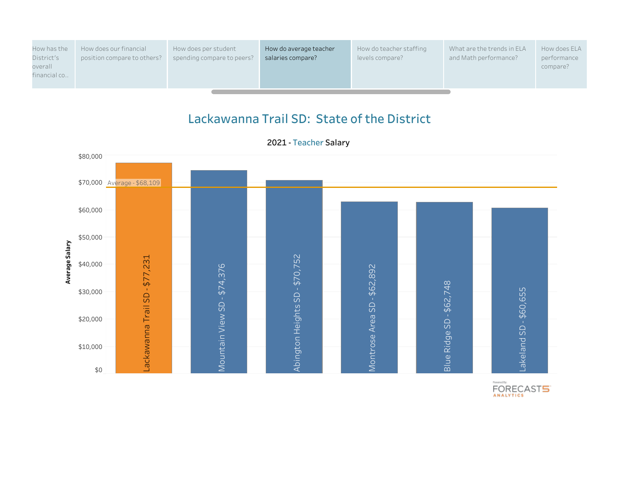| How has the<br>District's<br>overall<br>financial co | How does our financial<br>position compare to others? | How does per student<br>spending compare to peers? | How do average teacher<br>salaries compare? | How do teacher staffing<br>levels compare? | What are the trends in ELA<br>and Math performance? | How does ELA<br>performance<br>compare? |
|------------------------------------------------------|-------------------------------------------------------|----------------------------------------------------|---------------------------------------------|--------------------------------------------|-----------------------------------------------------|-----------------------------------------|
|------------------------------------------------------|-------------------------------------------------------|----------------------------------------------------|---------------------------------------------|--------------------------------------------|-----------------------------------------------------|-----------------------------------------|

**2021 - Teacher Salary**

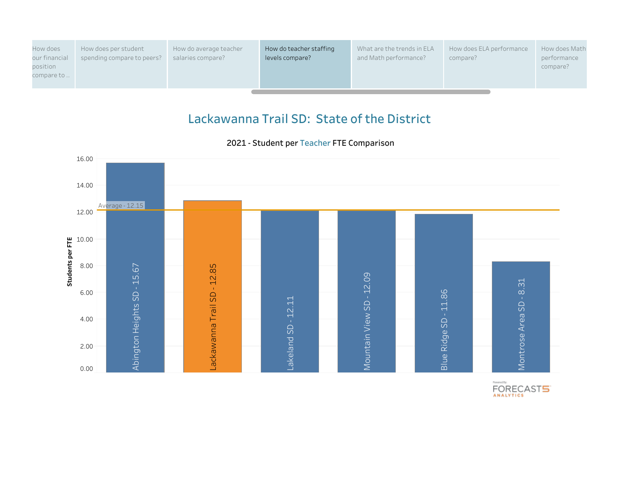| How does<br>our financial<br>position<br>compare to | How does per student<br>spending compare to peers? | How do average teacher<br>salaries compare? | How do teacher staffing<br>levels compare? | What are the trends in ELA<br>and Math performance? | How does ELA performance<br>compare? | How does Math<br>performance<br>compare? |
|-----------------------------------------------------|----------------------------------------------------|---------------------------------------------|--------------------------------------------|-----------------------------------------------------|--------------------------------------|------------------------------------------|
|-----------------------------------------------------|----------------------------------------------------|---------------------------------------------|--------------------------------------------|-----------------------------------------------------|--------------------------------------|------------------------------------------|

#### **2021 - Student per Teacher FTE Comparison**

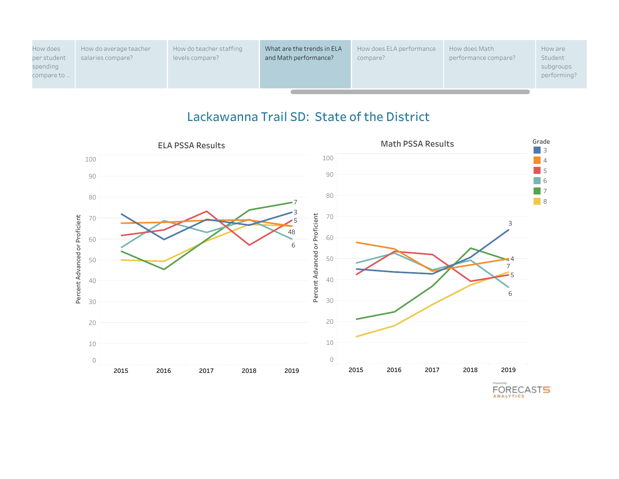| How does<br>per student<br>spending<br>compare to | How do average teacher<br>salaries compare? | How do teacher staffing<br>levels compare? | What are the trends in ELA<br>and Math performance? | How does ELA performance<br>compare? | How does Math<br>performance compare? | How are<br>Student<br>subgroups<br>performing? |
|---------------------------------------------------|---------------------------------------------|--------------------------------------------|-----------------------------------------------------|--------------------------------------|---------------------------------------|------------------------------------------------|
|---------------------------------------------------|---------------------------------------------|--------------------------------------------|-----------------------------------------------------|--------------------------------------|---------------------------------------|------------------------------------------------|

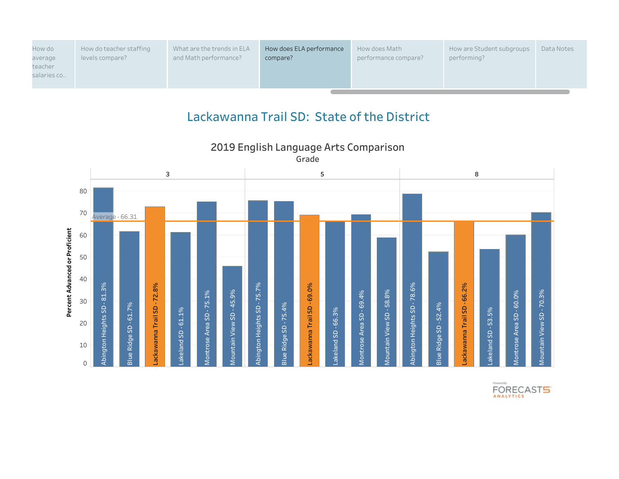| How do<br>average | How do teacher staffing<br>levels compare? | What are the trends in ELA<br>and Math performance? | How does ELA performance<br>compare? | How does Math<br>performance compare? | How are Student subgroups<br>performing? | Data Notes |
|-------------------|--------------------------------------------|-----------------------------------------------------|--------------------------------------|---------------------------------------|------------------------------------------|------------|
| teacher           |                                            |                                                     |                                      |                                       |                                          |            |
| salaries co       |                                            |                                                     |                                      |                                       |                                          |            |
|                   |                                            |                                                     |                                      |                                       |                                          |            |



**2019 English Language Arts Comparison Grade**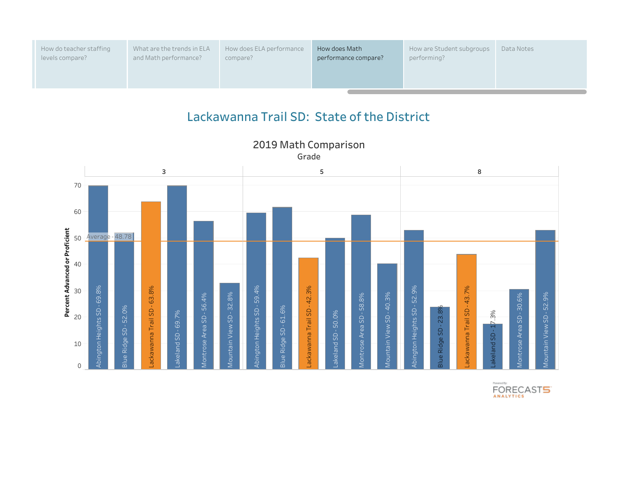| How do teacher staffing | What are the trends in ELA | How does ELA performance | How does Math        | How are Student subgroups | Data Notes |
|-------------------------|----------------------------|--------------------------|----------------------|---------------------------|------------|
| levels compare?         | and Math performance?      | compare?                 | performance compare? | performing?               |            |
|                         |                            |                          |                      |                           |            |



**Grade**

**2019 Math Comparison**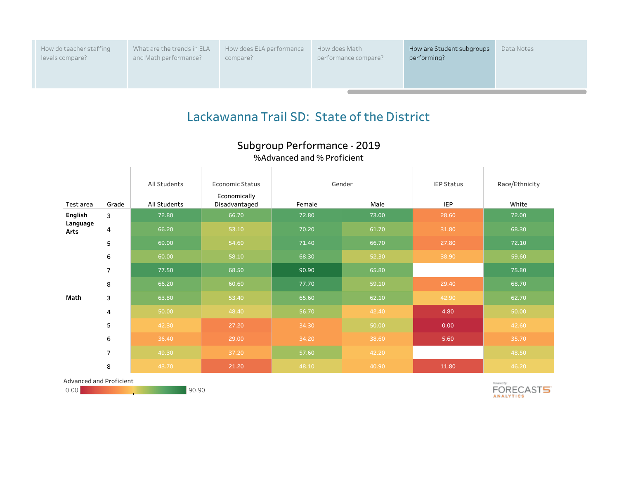How do teacher staffing levels compare?

What are the trends in ELA and Math performance?

How does ELA performance compare?

How does Math performance compare?

# **Lackawanna Trail SD: State of the District**

## **Subgroup Performance - 2019**

### **%Advanced and % Proficient**

|                  |                | All Students | <b>Economic Status</b>        |        | Gender | <b>IEP Status</b> | Race/Ethnicity |
|------------------|----------------|--------------|-------------------------------|--------|--------|-------------------|----------------|
| Test area        | Grade          | All Students | Economically<br>Disadvantaged | Female | Male   | <b>IEP</b>        | White          |
| English          | 3              | 72.80        | 66.70                         | 72.80  | 73.00  | 28.60             | 72.00          |
| Language<br>Arts | 4              | 66.20        | 53.10                         | 70.20  | 61.70  | 31.80             | 68.30          |
|                  | 5              | 69.00        | 54.60                         | 71.40  | 66.70  | 27.80             | 72.10          |
|                  | 6              | 60.00        | 58.10                         | 68.30  | 52.30  | 38.90             | 59.60          |
|                  | $\overline{7}$ | 77.50        | 68.50                         | 90.90  | 65.80  |                   | 75.80          |
|                  | 8              | 66.20        | 60.60                         | 77.70  | 59.10  | 29.40             | 68.70          |
| Math             | 3              | 63.80        | 53.40                         | 65.60  | 62.10  | 42.90             | 62.70          |
|                  | 4              | 50.00        | 48.40                         | 56.70  | 42.40  | 4.80              | 50.00          |
|                  | 5              | 42.30        | 27.20                         | 34.30  | 50.00  | 0.00              | 42.60          |
|                  | 6              | 36.40        | 29.00                         | 34.20  | 38.60  | 5.60              | 35.70          |
|                  | $\overline{7}$ | 49.30        | 37.20                         | 57.60  | 42.20  |                   | 48.50          |
|                  | 8              | 43.70        | 21.20                         | 48.10  | 40.90  | 11.80             | 46.20          |

Advanced and Proficient

0.00 90.90